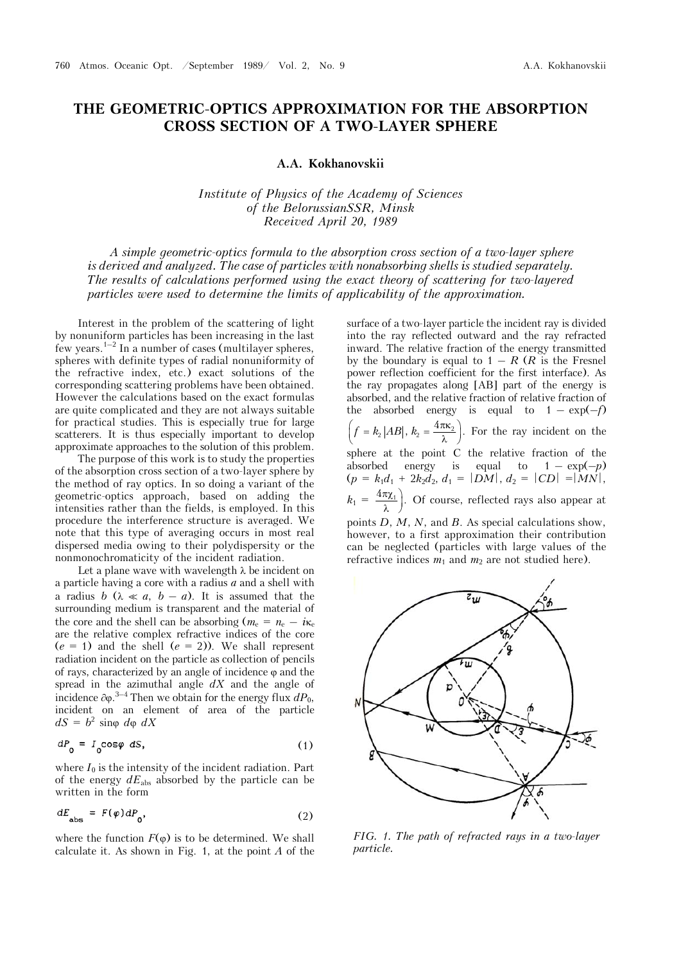## **THE GEOMETRIC-OPTICS APPROXIMATION FOR THE ABSORPTION CROSS SECTION OF A TWO-LAYER SPHERE**

**A.A. Kokhanovskii**

*Institute of Physics of the Academy of Sciences of the BelorussianSSR, Minsk Received April 20, 1989* 

*A simple geometric-optics formula to the absorption cross section of a two-layer sphere is derived and analyzed. The case of particles with nonabsorbing shells is studied separately. The results of calculations performed using the exact theory of scattering for two-layered particles were used to determine the limits of applicability of the approximation.*

Interest in the problem of the scattering of light by nonuniform particles has been increasing in the last few years.<sup>1–2</sup> In a number of cases (multilayer spheres, spheres with definite types of radial nonuniformity of the refractive index, etc.) exact solutions of the corresponding scattering problems have been obtained. However the calculations based on the exact formulas are quite complicated and they are not always suitable for practical studies. This is especially true for large scatterers. It is thus especially important to develop approximate approaches to the solution of this problem.

The purpose of this work is to study the properties of the absorption cross section of a two-layer sphere by the method of ray optics. In so doing a variant of the geometric-optics approach, based on adding the intensities rather than the fields, is employed. In this procedure the interference structure is averaged. We note that this type of averaging occurs in most real dispersed media owing to their polydispersity or the nonmonochromaticity of the incident radiation.

Let a plane wave with wavelength  $\lambda$  be incident on a particle having a core with a radius *a* and a shell with a radius *b* ( $\lambda \ll a$ , *b* – *a*). It is assumed that the surrounding medium is transparent and the material of the core and the shell can be absorbing  $(m_e = n_e - i\kappa_e$ are the relative complex refractive indices of the core  $(e = 1)$  and the shell  $(e = 2)$ ). We shall represent radiation incident on the particle as collection of pencils of rays, characterized by an angle of incidence  $\varphi$  and the spread in the azimuthal angle *dX* and the angle of incidence  $\partial \varphi$ .<sup>3-4</sup> Then we obtain for the energy flux  $dP_0$ , incident on an element of area of the particle  $dS = b^2 \sin{\varphi} \ d\varphi \ dX$ 

$$
dP_{0} = I_{0} \cos \varphi \ dS, \qquad (1)
$$

where  $I_0$  is the intensity of the incident radiation. Part of the energy  $dE_{\text{abs}}$  absorbed by the particle can be written in the form

$$
dE_{\text{abs}} = F(\varphi) dP_{0}, \qquad (2)
$$

where the function  $F(\varphi)$  is to be determined. We shall calculate it. As shown in Fig. 1, at the point *A* of the

surface of a two-layer particle the incident ray is divided into the ray reflected outward and the ray refracted inward. The relative fraction of the energy transmitted by the boundary is equal to  $1 - R$  ( $R$  is the Fresnel power reflection coefficient for the first interface). As the ray propagates along [AB] part of the energy is absorbed, and the relative fraction of relative fraction of the absorbed energy is equal to  $1 - \exp(-f)$  $\left(f = k_2 | AB|, k_2 = \frac{4\pi\kappa_2}{\lambda}\right)$ . For the ray incident on the sphere at the point C the relative fraction of the absorbed energy is equal to  $1 - \exp(-p)$  $(p = k_1d_1 + 2k_2d_2, d_1 = |DM|, d_2 = |CD| = |MN|,$  $k_1 = \frac{4\pi\chi_1}{\lambda}$ . Of course, reflected rays also appear at points *D*, *M*, *N*, and *B*. As special calculations show, however, to a first approximation their contribution can be neglected (particles with large values of the



refractive indices  $m_1$  and  $m_2$  are not studied here).

*FIG. 1. The path of refracted rays in a two-layer particle.*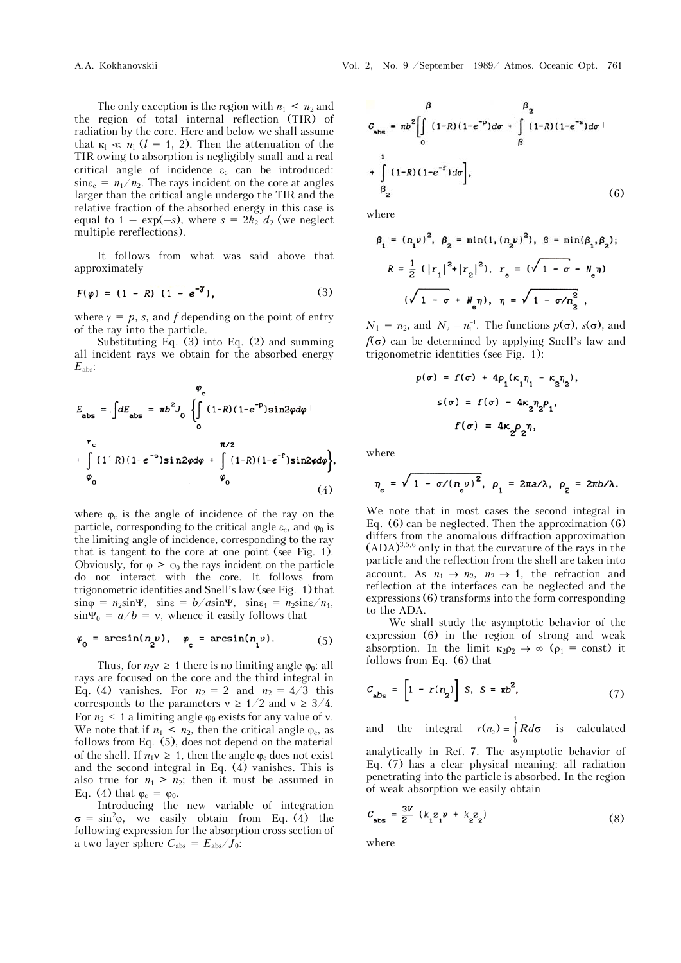The only exception is the region with  $n_1 \leq n_2$  and the region of total internal reflection (TIR) of radiation by the core. Here and below we shall assume that  $\kappa_1 \ll n_1$  (*l* = 1, 2). Then the attenuation of the TIR owing to absorption is negligibly small and a real critical angle of incidence  $\varepsilon_c$  can be introduced:  $\sin \epsilon_c = n_1/n_2$ . The rays incident on the core at angles larger than the critical angle undergo the TIR and the relative fraction of the absorbed energy in this case is equal to  $1 - \exp(-s)$ , where  $s = 2k_2 d_2$  (we neglect multiple rereflections).

It follows from what was said above that approximately

$$
F(\varphi) = (1 - R) (1 - e^{-\gamma}), \qquad (3)
$$

where  $\gamma = p$ , *s*, and *f* depending on the point of entry of the ray into the particle.

Substituting Eq. (3) into Eq. (2) and summing all incident rays we obtain for the absorbed energy *E*abs:

$$
\varphi_c
$$
\n
$$
E_{\text{abs}} = \int dE_{\text{abs}} = \pi b^2 J_0 \left\{ \int_0^{\pi/2} (1 - R)(1 - e^{-P}) \sin 2\varphi d\varphi + \int_0^{\pi/2} (1 - R)(1 - e^{-S}) \sin 2\varphi d\varphi + \int_{\varphi_0}^{\pi/2} (1 - R)(1 - e^{-S}) \sin 2\varphi d\varphi \right\},\tag{4}
$$

where  $\varphi_c$  is the angle of incidence of the ray on the particle, corresponding to the critical angle  $\varepsilon_c$ , and  $\varphi_0$  is the limiting angle of incidence, corresponding to the ray that is tangent to the core at one point (see Fig. 1). Obviously, for  $\varphi > \varphi_0$  the rays incident on the particle do not interact with the core. It follows from trigonometric identities and Snell's law (see Fig. 1) that  $\sin \varphi = n_2 \sin \Psi$ ,  $\sin \varphi = b/a \sin \Psi$ ,  $\sin \varphi = n_2 \sin \chi / n_1$ ,  $\sin \Psi_0 = a/b = v$ , whence it easily follows that

$$
\varphi_0 = \arcsin(n_2 \nu), \quad \varphi_c = \arcsin(n_1 \nu). \tag{5}
$$

Thus, for  $n_2v \geq 1$  there is no limiting angle  $\varphi_0$ : all rays are focused on the core and the third integral in Eq. (4) vanishes. For  $n_2 = 2$  and  $n_2 = 4/3$  this corresponds to the parameters  $v \ge 1/2$  and  $v \ge 3/4$ . For  $n_2 \leq 1$  a limiting angle  $\varphi_0$  exists for any value of v. We note that if  $n_1 \leq n_2$ , then the critical angle  $\varphi_c$ , as follows from Eq. (5), does not depend on the material of the shell. If  $n_1 v \geq 1$ , then the angle  $\varphi_c$  does not exist and the second integral in Eq. (4) vanishes. This is also true for  $n_1 > n_2$ ; then it must be assumed in Eq. (4) that  $\varphi_c = \varphi_0$ .

Introducing the new variable of integration  $\sigma = \sin^2 \varphi$ , we easily obtain from Eq. (4) the following expression for the absorption cross section of a two-layer sphere  $C_{\text{abs}} = E_{\text{abs}} / J_0$ :

$$
C_{\text{abs}} = \pi b^{2} \left[ \int_{0}^{\beta} (1-R)(1-e^{-P}) d\sigma + \int_{\beta}^{R} (1-R)(1-e^{-S}) d\sigma + \int_{\beta}^{1} (1-R)(1-e^{-T}) d\sigma \right],
$$
  
+ 
$$
\int_{\beta_{2}}^{1} (1-R)(1-e^{-T}) d\sigma \right],
$$
 (6)

where

$$
\beta_1 = (n_1 \nu)^2, \ \beta_2 = \min(1, (n_2 \nu)^2), \ \beta = \min(\beta_1, \beta_2);
$$

$$
R = \frac{1}{2} (|r_1|^2 + |r_2|^2), \ r_e = (\sqrt{1 - \sigma} - N_e \eta)
$$

$$
(\sqrt{1 - \sigma} + N_e \eta), \ \eta = \sqrt{1 - \sigma/n_2^2},
$$

 $N_1 = n_2$ , and  $N_2 = n_1^{-1}$ . The functions  $p(\sigma)$ ,  $s(\sigma)$ , and  $f(\sigma)$  can be determined by applying Snell's law and trigonometric identities (see Fig. 1):

$$
p(\sigma) = f(\sigma) + 4\rho_1(\kappa_1 \eta_1 - \kappa_2 \eta_2),
$$
  

$$
s(\sigma) = f(\sigma) - 4\kappa_2 \eta_2 \rho_1,
$$
  

$$
f(\sigma) = 4\kappa_2 \rho_2 \eta,
$$

where

$$
\eta_e = \sqrt{1 - \sigma/(\eta_e v)^2}, \ \rho_1 = 2\pi a/\lambda, \ \rho_2 = 2\pi b/\lambda.
$$

We note that in most cases the second integral in Eq. (6) can be neglected. Then the approximation (6) differs from the anomalous diffraction approximation  $(ADA)^{3,5,6}$  only in that the curvature of the rays in the particle and the reflection from the shell are taken into account. As  $n_1 \rightarrow n_2$ ,  $n_2 \rightarrow 1$ , the refraction and reflection at the interfaces can be neglected and the expressions (6) transforms into the form corresponding to the ADA.

We shall study the asymptotic behavior of the expression (6) in the region of strong and weak absorption. In the limit  $\kappa_2 \rho_2 \rightarrow \infty$  ( $\rho_1 = \text{const}$ ) it follows from Eq. (6) that

$$
C_{\rm abs} = \left[1 - r(n_{2})\right] S, S = \pi b^{2}, \qquad (7)
$$

and the integral  $r(n_2) = \int_0^1$  $r(n_2) = \int_0^R R d\sigma$  is calculated analytically in Ref. 7. The asymptotic behavior of Eq. (7) has a clear physical meaning: all radiation penetrating into the particle is absorbed. In the region of weak absorption we easily obtain

$$
C_{\text{abs}} = \frac{3V}{2} \left( k_1 z_1 v + k_2 z_2 \right) \tag{8}
$$

where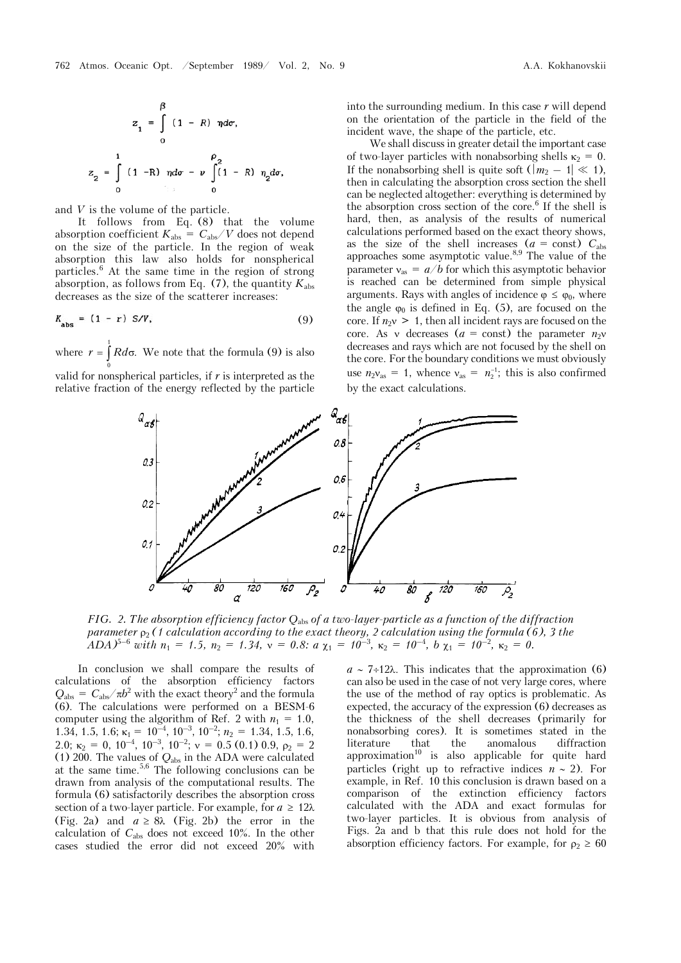$$
z_{1} = \int_{0}^{\beta} (1 - R) \eta d\sigma,
$$
  

$$
z_{2} = \int_{0}^{1} (1 - R) \eta d\sigma - \nu \int_{0}^{\rho_{2}} (1 - R) \eta_{2} d\sigma
$$

and *V* is the volume of the particle.

z

It follows from Eq. (8) that the volume absorption coefficient  $K_{\rm abs} \,=\, C_{\rm abs} / V$  does not depend on the size of the particle. In the region of weak absorption this law also holds for nonspherical particles.6 At the same time in the region of strong absorption, as follows from Eq. (7), the quantity  $K_{\text{abs}}$ decreases as the size of the scatterer increases:

$$
K_{\text{abs}} = (1 - r) S/V, \tag{9}
$$

where  $r = \int R d\sigma$ . We note that the formula (9) is also 0

valid for nonspherical particles, if  $r$  is interpreted as the relative fraction of the energy reflected by the particle into the surrounding medium. In this case *r* will depend on the orientation of the particle in the field of the incident wave, the shape of the particle, etc.

We shall discuss in greater detail the important case of two-layer particles with nonabsorbing shells  $\kappa_2 = 0$ . If the nonabsorbing shell is quite soft  $(|m_2 - 1| \ll 1)$ , then in calculating the absorption cross section the shell can be neglected altogether: everything is determined by the absorption cross section of the core.<sup>6</sup> If the shell is hard, then, as analysis of the results of numerical calculations performed based on the exact theory shows, as the size of the shell increases  $(a = const)$   $C_{\text{abs}}$ approaches some asymptotic value.8,9 The value of the parameter  $v_{\text{as}} = a/b$  for which this asymptotic behavior is reached can be determined from simple physical arguments. Rays with angles of incidence  $\varphi \leq \varphi_0$ , where the angle  $\varphi_0$  is defined in Eq. (5), are focused on the core. If  $n_{2}$  > 1, then all incident rays are focused on the core. As v decreases  $(a = const)$  the parameter  $n_2v$ decreases and rays which are not focused by the shell on the core. For the boundary conditions we must obviously use  $n_2v_{\text{as}} = 1$ , whence  $v_{\text{as}} = n_2^{-1}$ ; this is also confirmed by the exact calculations.



*FIG. 2. The absorption efficiency factor Q*abs *of a two-layer-particle as a function of the diffraction parameter*  $\rho_2$  (1 calculation according to the exact theory, 2 calculation using the formula (6), 3 the *ADA*)<sup>5–6</sup> with  $n_1 = 1.5$ ,  $n_2 = 1.34$ ,  $v = 0.8$ :  $a \chi_1 = 10^{-3}$ ,  $\kappa_2 = 10^{-4}$ ,  $b \chi_1 = 10^{-2}$ ,  $\kappa_2 = 0$ .

In conclusion we shall compare the results of calculations of the absorption efficiency factors  $Q_{\text{abs}} = C_{\text{abs}} / \pi b^2$  with the exact theory<sup>2</sup> and the formula (6). The calculations were performed on a BESM-6 computer using the algorithm of Ref. 2 with  $n_1 = 1.0$ , 1.34, 1.5, 1.6;  $\kappa_1 = 10^{-4}$ ,  $10^{-3}$ ,  $10^{-2}$ ;  $n_2 = 1.34$ , 1.5, 1.6, 2.0;  $\kappa_2 = 0$ ,  $10^{-4}$ ,  $10^{-3}$ ,  $10^{-2}$ ;  $v = 0.5$  (0.1) 0.9,  $\rho_2 = 2$ (1) 200. The values of *Q*abs in the ADA were calculated at the same time.5,6 The following conclusions can be drawn from analysis of the computational results. The formula (6) satisfactorily describes the absorption cross section of a two-layer particle. For example, for  $a \geq 12\lambda$ (Fig. 2a) and  $a \geq 8\lambda$  (Fig. 2b) the error in the calculation of  $C_{\text{abs}}$  does not exceed 10%. In the other cases studied the error did not exceed 20% with

 $a \sim 7\div 12\lambda$ . This indicates that the approximation (6) can also be used in the case of not very large cores, where the use of the method of ray optics is problematic. As expected, the accuracy of the expression (6) decreases as the thickness of the shell decreases (primarily for nonabsorbing cores). It is sometimes stated in the literature that the anomalous diffraction  $approximation<sup>10</sup>$  is also applicable for quite hard particles (right up to refractive indices  $n \sim 2$ ). For example, in Ref. 10 this conclusion is drawn based on a comparison of the extinction efficiency factors calculated with the ADA and exact formulas for two-layer particles. It is obvious from analysis of Figs. 2a and b that this rule does not hold for the absorption efficiency factors. For example, for  $\rho_2 \geq 60$